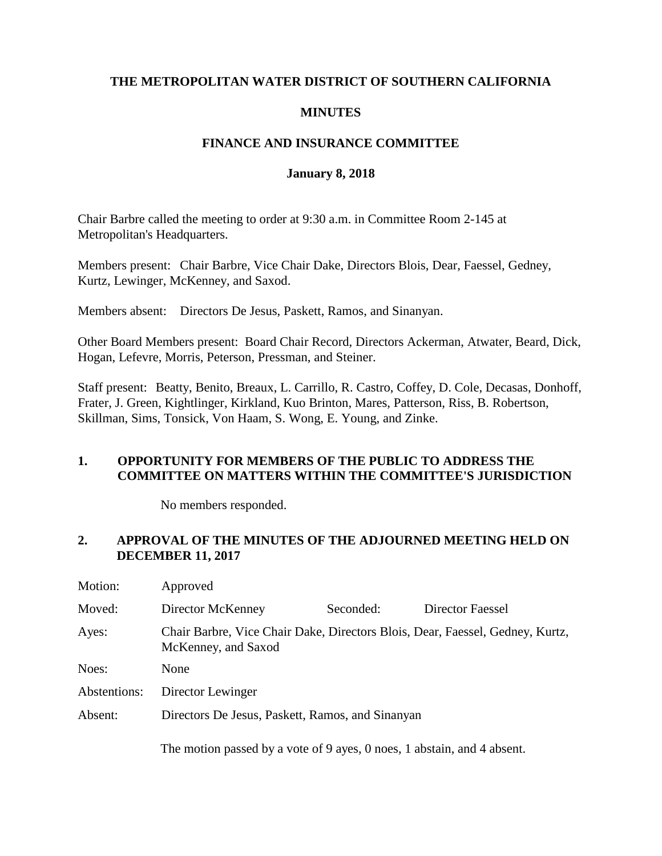## **THE METROPOLITAN WATER DISTRICT OF SOUTHERN CALIFORNIA**

## **MINUTES**

## **FINANCE AND INSURANCE COMMITTEE**

### **January 8, 2018**

Chair Barbre called the meeting to order at 9:30 a.m. in Committee Room 2-145 at Metropolitan's Headquarters.

Members present: Chair Barbre, Vice Chair Dake, Directors Blois, Dear, Faessel, Gedney, Kurtz, Lewinger, McKenney, and Saxod.

Members absent: Directors De Jesus, Paskett, Ramos, and Sinanyan.

Other Board Members present: Board Chair Record, Directors Ackerman, Atwater, Beard, Dick, Hogan, Lefevre, Morris, Peterson, Pressman, and Steiner.

Staff present: Beatty, Benito, Breaux, L. Carrillo, R. Castro, Coffey, D. Cole, Decasas, Donhoff, Frater, J. Green, Kightlinger, Kirkland, Kuo Brinton, Mares, Patterson, Riss, B. Robertson, Skillman, Sims, Tonsick, Von Haam, S. Wong, E. Young, and Zinke.

## **1. OPPORTUNITY FOR MEMBERS OF THE PUBLIC TO ADDRESS THE COMMITTEE ON MATTERS WITHIN THE COMMITTEE'S JURISDICTION**

No members responded.

# **2. APPROVAL OF THE MINUTES OF THE ADJOURNED MEETING HELD ON DECEMBER 11, 2017**

| Motion:      | Approved                                                                                             |           |                  |
|--------------|------------------------------------------------------------------------------------------------------|-----------|------------------|
| Moved:       | Director McKenney                                                                                    | Seconded: | Director Faessel |
| Ayes:        | Chair Barbre, Vice Chair Dake, Directors Blois, Dear, Faessel, Gedney, Kurtz,<br>McKenney, and Saxod |           |                  |
| Noes:        | None                                                                                                 |           |                  |
| Abstentions: | Director Lewinger                                                                                    |           |                  |
| Absent:      | Directors De Jesus, Paskett, Ramos, and Sinanyan                                                     |           |                  |
|              | The motion passed by a vote of 9 ayes, 0 noes, 1 abstain, and 4 absent.                              |           |                  |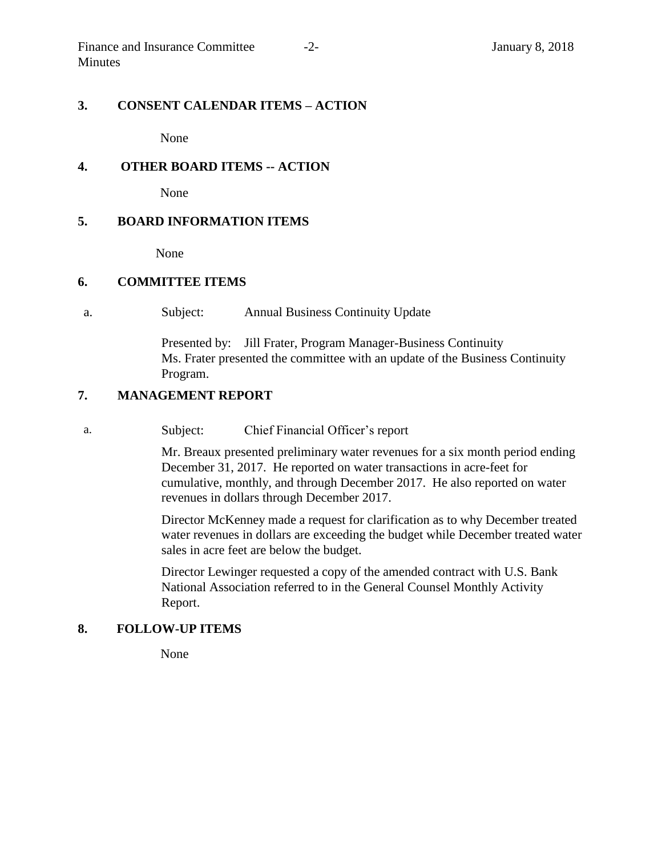#### **3. CONSENT CALENDAR ITEMS – ACTION**

None

### **4. OTHER BOARD ITEMS -- ACTION**

None

#### **5. BOARD INFORMATION ITEMS**

None

#### **6. COMMITTEE ITEMS**

a. Subject: Annual Business Continuity Update

Presented by: Jill Frater, Program Manager-Business Continuity Ms. Frater presented the committee with an update of the Business Continuity Program.

### **7. MANAGEMENT REPORT**

a. Subject: Chief Financial Officer's report

Mr. Breaux presented preliminary water revenues for a six month period ending December 31, 2017. He reported on water transactions in acre-feet for cumulative, monthly, and through December 2017. He also reported on water revenues in dollars through December 2017.

Director McKenney made a request for clarification as to why December treated water revenues in dollars are exceeding the budget while December treated water sales in acre feet are below the budget.

Director Lewinger requested a copy of the amended contract with U.S. Bank National Association referred to in the General Counsel Monthly Activity Report.

#### **8. FOLLOW-UP ITEMS**

None